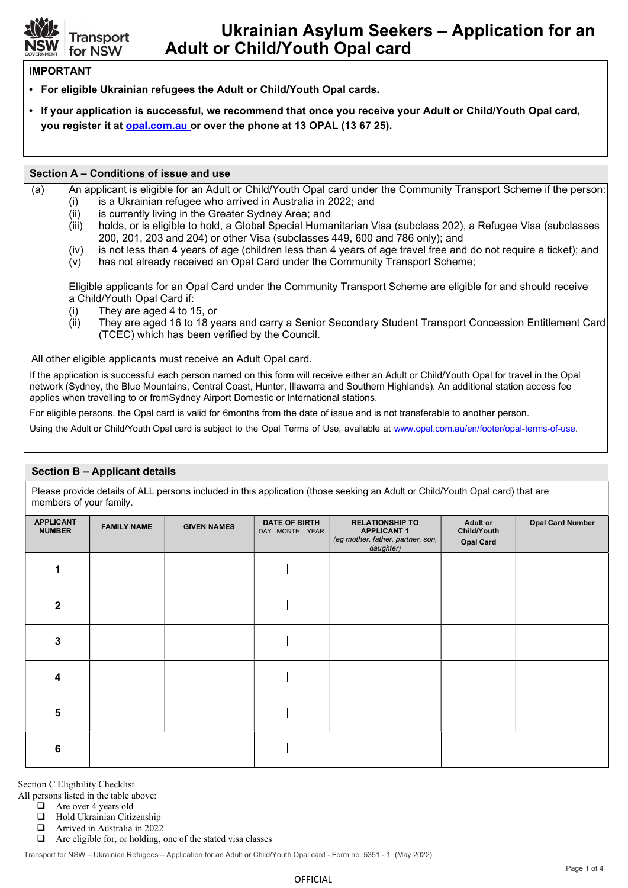

# Ukrainian Asylum Seekers – Application for an Adult or Child/Youth Opal card

### IMPORTANT

- For eligible Ukrainian refugees the Adult or Child/Youth Opal cards.
- If your application is successful, we recommend that once you receive your Adult or Child/Youth Opal card, you register it at opal.com.au or over the phone at 13 OPAL (13 67 25).

#### Section A – Conditions of issue and use

- (a) An applicant is eligible for an Adult or Child/Youth Opal card under the Community Transport Scheme if the person:
	- (i) is a Ukrainian refugee who arrived in Australia in 2022; and
	- (ii) is currently living in the Greater Sydney Area; and
	- (iii) holds, or is eligible to hold, a Global Special Humanitarian Visa (subclass 202), a Refugee Visa (subclasses 200, 201, 203 and 204) or other Visa (subclasses 449, 600 and 786 only); and
	- (iv) is not less than 4 years of age (children less than 4 years of age travel free and do not require a ticket); and
	- (v) has not already received an Opal Card under the Community Transport Scheme;

Eligible applicants for an Opal Card under the Community Transport Scheme are eligible for and should receive a Child/Youth Opal Card if:

- (i) They are aged 4 to 15, or
- (ii) They are aged 16 to 18 years and carry a Senior Secondary Student Transport Concession Entitlement Card (TCEC) which has been verified by the Council.

All other eligible applicants must receive an Adult Opal card.

If the application is successful each person named on this form will receive either an Adult or Child/Youth Opal for travel in the Opal network (Sydney, the Blue Mountains, Central Coast, Hunter, Illawarra and Southern Highlands). An additional station access fee applies when travelling to or from Sydney Airport Domestic or International stations.

For eligible persons, the Opal card is valid for 6months from the date of issue and is not transferable to another person.

Using the Adult or Child/Youth Opal card is subject to the Opal Terms of Use, available at www.opal.com.au/en/footer/opal-terms-of-use.

#### Section B – Applicant details

Please provide details of ALL persons included in this application (those seeking an Adult or Child/Youth Opal card) that are members of your family.

| $\overline{\phantom{a}}$          | $-$                |                    |                                        |                                                                                               |                                                    |                         |
|-----------------------------------|--------------------|--------------------|----------------------------------------|-----------------------------------------------------------------------------------------------|----------------------------------------------------|-------------------------|
| <b>APPLICANT</b><br><b>NUMBER</b> | <b>FAMILY NAME</b> | <b>GIVEN NAMES</b> | <b>DATE OF BIRTH</b><br>DAY MONTH YEAR | <b>RELATIONSHIP TO</b><br><b>APPLICANT1</b><br>(eg mother, father, partner, son,<br>daughter) | <b>Adult or</b><br>Child/Youth<br><b>Opal Card</b> | <b>Opal Card Number</b> |
|                                   |                    |                    |                                        |                                                                                               |                                                    |                         |
| 2                                 |                    |                    |                                        |                                                                                               |                                                    |                         |
| 3                                 |                    |                    |                                        |                                                                                               |                                                    |                         |
| 4                                 |                    |                    |                                        |                                                                                               |                                                    |                         |
| 5                                 |                    |                    |                                        |                                                                                               |                                                    |                         |
| 6                                 |                    |                    |                                        |                                                                                               |                                                    |                         |

Section C Eligibility Checklist

All persons listed in the table above:

□ Are over 4 years old

 $\Box$  Hold Ukrainian Citizenship

**a** Arrived in Australia in 2022

 $\Box$  Are eligible for, or holding, one of the stated visa classes

Transport for NSW – Ukrainian Refugees – Application for an Adult or Child/Youth Opal card - Form no. 5351 - 1 (May 2022)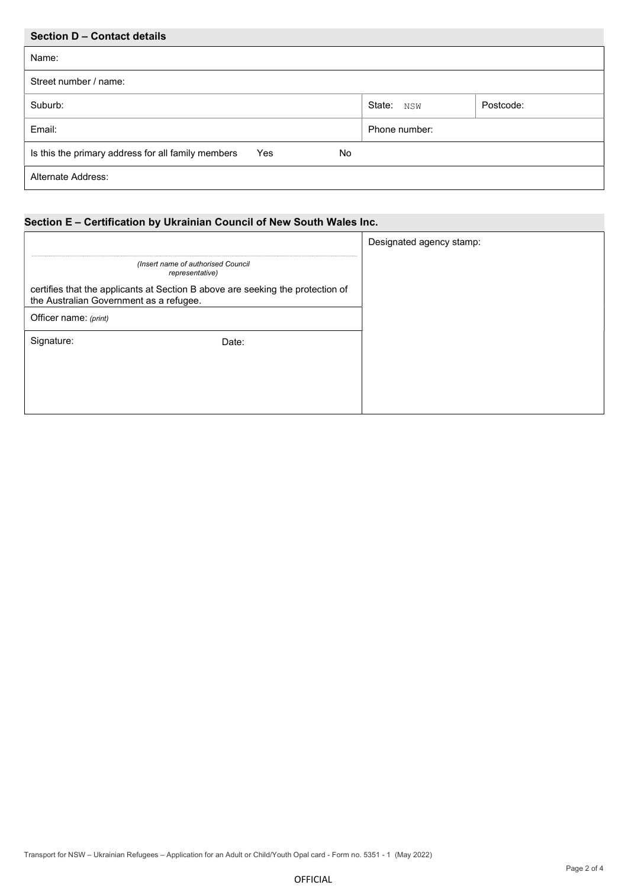| Section D - Contact details                                      |               |           |
|------------------------------------------------------------------|---------------|-----------|
| Name:                                                            |               |           |
| Street number / name:                                            |               |           |
| Suburb:                                                          | State: NSW    | Postcode: |
| Email:                                                           | Phone number: |           |
| Is this the primary address for all family members<br>Yes<br>No. |               |           |
| <b>Alternate Address:</b>                                        |               |           |

# Section E – Certification by Ukrainian Council of New South Wales Inc.

|                                                                                                                           |       | Designated agency stamp: |
|---------------------------------------------------------------------------------------------------------------------------|-------|--------------------------|
| (Insert name of authorised Council<br>representative)                                                                     |       |                          |
| certifies that the applicants at Section B above are seeking the protection of<br>the Australian Government as a refugee. |       |                          |
| Officer name: (print)                                                                                                     |       |                          |
| Signature:                                                                                                                | Date: |                          |
|                                                                                                                           |       |                          |
|                                                                                                                           |       |                          |
|                                                                                                                           |       |                          |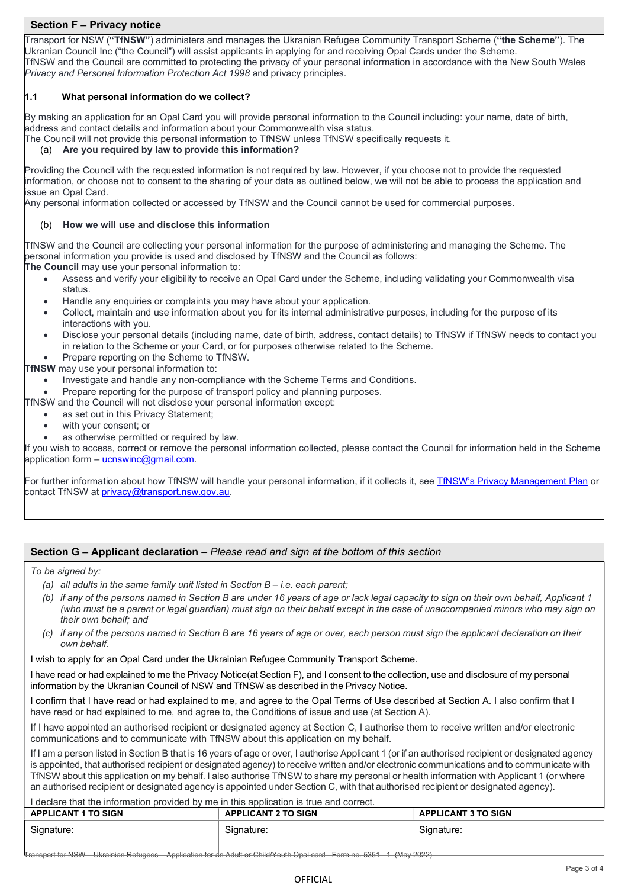## Section F – Privacy notice

Transport for NSW ("TfNSW") administers and manages the Ukranian Refugee Community Transport Scheme ("the Scheme"). The Ukranian Council Inc ("the Council") will assist applicants in applying for and receiving Opal Cards under the Scheme. TfNSW and the Council are committed to protecting the privacy of your personal information in accordance with the New South Wales Privacy and Personal Information Protection Act 1998 and privacy principles.

#### 1.1 What personal information do we collect?

By making an application for an Opal Card you will provide personal information to the Council including: your name, date of birth, address and contact details and information about your Commonwealth visa status.

The Council will not provide this personal information to TfNSW unless TfNSW specifically requests it.

#### (a) Are you required by law to provide this information?

Providing the Council with the requested information is not required by law. However, if you choose not to provide the requested information, or choose not to consent to the sharing of your data as outlined below, we will not be able to process the application and issue an Opal Card.

Any personal information collected or accessed by TfNSW and the Council cannot be used for commercial purposes.

#### (b) How we will use and disclose this information

TfNSW and the Council are collecting your personal information for the purpose of administering and managing the Scheme. The personal information you provide is used and disclosed by TfNSW and the Council as follows:

The Council may use your personal information to:

- Assess and verify your eligibility to receive an Opal Card under the Scheme, including validating your Commonwealth visa status.
- Handle any enquiries or complaints you may have about your application.
- Collect, maintain and use information about you for its internal administrative purposes, including for the purpose of its interactions with you.
- Disclose your personal details (including name, date of birth, address, contact details) to TfNSW if TfNSW needs to contact you in relation to the Scheme or your Card, or for purposes otherwise related to the Scheme.
- Prepare reporting on the Scheme to TfNSW.
- **TfNSW** may use your personal information to:
	- Investigate and handle any non-compliance with the Scheme Terms and Conditions.
	- Prepare reporting for the purpose of transport policy and planning purposes.
- TfNSW and the Council will not disclose your personal information except:
	- as set out in this Privacy Statement;
	- with your consent; or
	- as otherwise permitted or required by law.

If you wish to access, correct or remove the personal information collected, please contact the Council for information held in the Scheme application form – ucnswinc@gmail.com.

For further information about how TfNSW will handle your personal information, if it collects it, see TfNSW's Privacy Management Plan or contact TfNSW at privacy@transport.nsw.gov.au.

#### Section G – Applicant declaration – Please read and sign at the bottom of this section

To be signed by:

- (b) if any of the persons named in Section B are under 16 years of age or lack legal capacity to sign on their own behalf, Applicant 1 (who must be a parent or legal guardian) must sign on their behalf except in the case of unaccompanied minors who may sign on their own behalf; and
- (c) if any of the persons named in Section B are 16 years of age or over, each person must sign the applicant declaration on their own behalf.

I wish to apply for an Opal Card under the Ukrainian Refugee Community Transport Scheme.

I have read or had explained to me the Privacy Notice (at Section F), and I consent to the collection, use and disclosure of my personal information by the Ukranian Council of NSW and TfNSW as described in the Privacy Notice.

I confirm that I have read or had explained to me, and agree to the Opal Terms of Use described at Section A. I also confirm that I have read or had explained to me, and agree to, the Conditions of issue and use (at Section A).

If I have appointed an authorised recipient or designated agency at Section C, I authorise them to receive written and/or electronic communications and to communicate with TfNSW about this application on my behalf.

If I am a person listed in Section B that is 16 years of age or over, I authorise Applicant 1 (or if an authorised recipient or designated agency is appointed, that authorised recipient or designated agency) to receive written and/or electronic communications and to communicate with TfNSW about this application on my behalf. I also authorise TfNSW to share my personal or health information with Applicant 1 (or where an authorised recipient or designated agency is appointed under Section C, with that authorised recipient or designated agency).

#### I declare that the information provided by me in this application is true and correct.

| <b>APPLICANT 1 TO SIGN</b> | <b>APPLICANT 2 TO SIGN</b> | <b>APPLICANT 3 TO SIGN</b> |
|----------------------------|----------------------------|----------------------------|
| Signature:                 | Signature:                 | Signature:                 |

Transport for NSW – Ukrainian Refugees – Application for an Adult or Child/Youth Opal card - Form no. 5351 - 1 (May 2022)

<sup>(</sup>a) all adults in the same family unit listed in Section  $B - i.e.$  each parent;